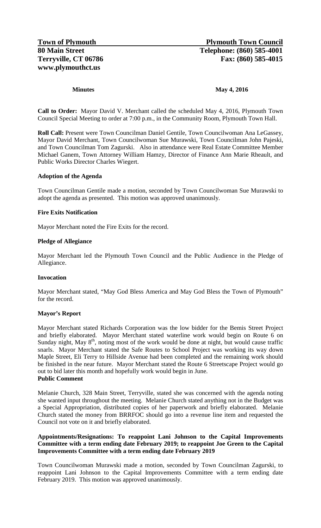#### **Minutes May 4, 2016**

**Call to Order:** Mayor David V. Merchant called the scheduled May 4, 2016, Plymouth Town Council Special Meeting to order at 7:00 p.m., in the Community Room, Plymouth Town Hall.

**Roll Call:** Present were Town Councilman Daniel Gentile, Town Councilwoman Ana LeGassey, Mayor David Merchant, Town Councilwoman Sue Murawski, Town Councilman John Pajeski, and Town Councilman Tom Zagurski. Also in attendance were Real Estate Committee Member Michael Ganem, Town Attorney William Hamzy, Director of Finance Ann Marie Rheault, and Public Works Director Charles Wiegert.

### **Adoption of the Agenda**

Town Councilman Gentile made a motion, seconded by Town Councilwoman Sue Murawski to adopt the agenda as presented. This motion was approved unanimously.

### **Fire Exits Notification**

Mayor Merchant noted the Fire Exits for the record.

#### **Pledge of Allegiance**

Mayor Merchant led the Plymouth Town Council and the Public Audience in the Pledge of Allegiance.

#### **Invocation**

Mayor Merchant stated, "May God Bless America and May God Bless the Town of Plymouth" for the record.

#### **Mayor's Report**

Mayor Merchant stated Richards Corporation was the low bidder for the Bemis Street Project and briefly elaborated. Mayor Merchant stated waterline work would begin on Route 6 on Sunday night, May  $8<sup>th</sup>$ , noting most of the work would be done at night, but would cause traffic snarls. Mayor Merchant stated the Safe Routes to School Project was working its way down Maple Street, Eli Terry to Hillside Avenue had been completed and the remaining work should be finished in the near future. Mayor Merchant stated the Route 6 Streetscape Project would go out to bid later this month and hopefully work would begin in June. **Public Comment**

# Melanie Church, 328 Main Street, Terryville, stated she was concerned with the agenda noting she wanted input throughout the meeting. Melanie Church stated anything not in the Budget was a Special Appropriation, distributed copies of her paperwork and briefly elaborated. Melanie Church stated the money from BRRFOC should go into a revenue line item and requested the Council not vote on it and briefly elaborated.

# **Appointments/Resignations: To reappoint Lani Johnson to the Capital Improvements Committee with a term ending date February 2019; to reappoint Joe Green to the Capital Improvements Committee with a term ending date February 2019**

Town Councilwoman Murawski made a motion, seconded by Town Councilman Zagurski, to reappoint Lani Johnson to the Capital Improvements Committee with a term ending date February 2019. This motion was approved unanimously.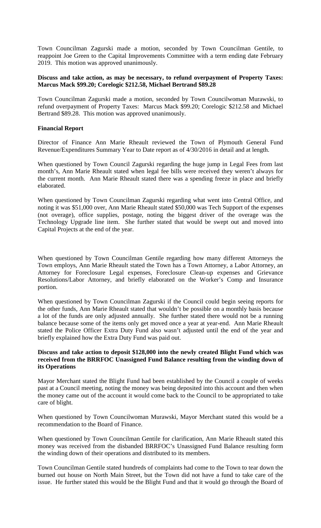Town Councilman Zagurski made a motion, seconded by Town Councilman Gentile, to reappoint Joe Green to the Capital Improvements Committee with a term ending date February 2019. This motion was approved unanimously.

### **Discuss and take action, as may be necessary, to refund overpayment of Property Taxes: Marcus Mack \$99.20; Corelogic \$212.58, Michael Bertrand \$89.28**

Town Councilman Zagurski made a motion, seconded by Town Councilwoman Murawski, to refund overpayment of Property Taxes: Marcus Mack \$99.20; Corelogic \$212.58 and Michael Bertrand \$89.28. This motion was approved unanimously.

# **Financial Report**

Director of Finance Ann Marie Rheault reviewed the Town of Plymouth General Fund Revenue/Expenditures Summary Year to Date report as of 4/30/2016 in detail and at length.

When questioned by Town Council Zagurski regarding the huge jump in Legal Fees from last month's, Ann Marie Rheault stated when legal fee bills were received they weren't always for the current month. Ann Marie Rheault stated there was a spending freeze in place and briefly elaborated.

When questioned by Town Councilman Zagurski regarding what went into Central Office, and noting it was \$51,000 over, Ann Marie Rheault stated \$50,000 was Tech Support of the expenses (not overage), office supplies, postage, noting the biggest driver of the overage was the Technology Upgrade line item. She further stated that would be swept out and moved into Capital Projects at the end of the year.

When questioned by Town Councilman Gentile regarding how many different Attorneys the Town employs, Ann Marie Rheault stated the Town has a Town Attorney, a Labor Attorney, an Attorney for Foreclosure Legal expenses, Foreclosure Clean-up expenses and Grievance Resolutions/Labor Attorney, and briefly elaborated on the Worker's Comp and Insurance portion.

When questioned by Town Councilman Zagurski if the Council could begin seeing reports for the other funds, Ann Marie Rheault stated that wouldn't be possible on a monthly basis because a lot of the funds are only adjusted annually. She further stated there would not be a running balance because some of the items only get moved once a year at year-end. Ann Marie Rheault stated the Police Officer Extra Duty Fund also wasn't adjusted until the end of the year and briefly explained how the Extra Duty Fund was paid out.

## **Discuss and take action to deposit \$128,000 into the newly created Blight Fund which was received from the BRRFOC Unassigned Fund Balance resulting from the winding down of its Operations**

Mayor Merchant stated the Blight Fund had been established by the Council a couple of weeks past at a Council meeting, noting the money was being deposited into this account and then when the money came out of the account it would come back to the Council to be appropriated to take care of blight.

When questioned by Town Councilwoman Murawski, Mayor Merchant stated this would be a recommendation to the Board of Finance.

When questioned by Town Councilman Gentile for clarification, Ann Marie Rheault stated this money was received from the disbanded BRRFOC's Unassigned Fund Balance resulting form the winding down of their operations and distributed to its members.

Town Councilman Gentile stated hundreds of complaints had come to the Town to tear down the burned out house on North Main Street, but the Town did not have a fund to take care of the issue. He further stated this would be the Blight Fund and that it would go through the Board of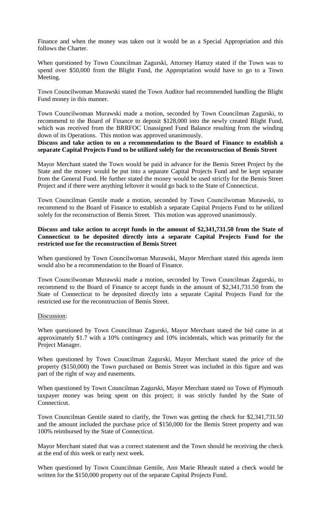Finance and when the money was taken out it would be as a Special Appropriation and this follows the Charter.

When questioned by Town Councilman Zagurski, Attorney Hamzy stated if the Town was to spend over \$50,000 from the Blight Fund, the Appropriation would have to go to a Town Meeting.

Town Councilwoman Murawski stated the Town Auditor had recommended handling the Blight Fund money in this manner.

Town Councilwoman Murawski made a motion, seconded by Town Councilman Zagurski, to recommend to the Board of Finance to deposit \$128,000 into the newly created Blight Fund, which was received from the BRRFOC Unassigned Fund Balance resulting from the winding down of its Operations. This motion was approved unanimously.

**Discuss and take action to on a recommendation to the Board of Finance to establish a separate Capital Projects Fund to be utilized solely for the reconstruction of Bemis Street** 

Mayor Merchant stated the Town would be paid in advance for the Bemis Street Project by the State and the money would be put into a separate Capital Projects Fund and be kept separate from the General Fund. He further stated the money would be used strictly for the Bemis Street Project and if there were anything leftover it would go back to the State of Connecticut.

Town Councilman Gentile made a motion, seconded by Town Councilwoman Murawski, to recommend to the Board of Finance to establish a separate Capital Projects Fund to be utilized solely for the reconstruction of Bemis Street. This motion was approved unanimously.

## **Discuss and take action to accept funds in the amount of \$2,341,731.50 from the State of Connecticut to be deposited directly into a separate Capital Projects Fund for the restricted use for the reconstruction of Bemis Street**

When questioned by Town Councilwoman Murawski, Mayor Merchant stated this agenda item would also be a recommendation to the Board of Finance.

Town Councilwoman Murawski made a motion, seconded by Town Councilman Zagurski, to recommend to the Board of Finance to accept funds in the amount of \$2,341,731.50 from the State of Connecticut to be deposited directly into a separate Capital Projects Fund for the restricted use for the reconstruction of Bemis Street.

#### Discussion:

When questioned by Town Councilman Zagurski, Mayor Merchant stated the bid came in at approximately \$1.7 with a 10% contingency and 10% incidentals, which was primarily for the Project Manager.

When questioned by Town Councilman Zagurski, Mayor Merchant stated the price of the property (\$150,000) the Town purchased on Bemis Street was included in this figure and was part of the right of way and easements.

When questioned by Town Councilman Zagurski, Mayor Merchant stated no Town of Plymouth taxpayer money was being spent on this project; it was strictly funded by the State of Connecticut.

Town Councilman Gentile stated to clarify, the Town was getting the check for \$2,341,731.50 and the amount included the purchase price of \$150,000 for the Bemis Street property and was 100% reimbursed by the State of Connecticut.

Mayor Merchant stated that was a correct statement and the Town should be receiving the check at the end of this week or early next week.

When questioned by Town Councilman Gentile, Ann Marie Rheault stated a check would be written for the \$150,000 property out of the separate Capital Projects Fund.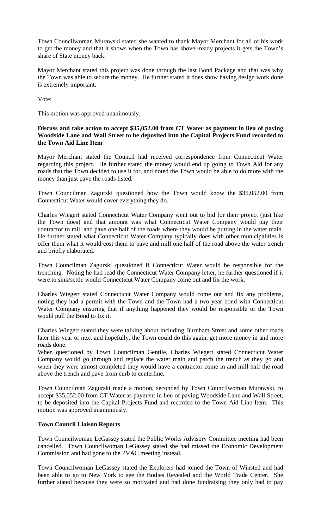Town Councilwoman Murawski stated she wanted to thank Mayor Merchant for all of his work to get the money and that it shows when the Town has shovel-ready projects it gets the Town's share of State money back.

Mayor Merchant stated this project was done through the last Bond Package and that was why the Town was able to secure the money. He further stated it does show having design work done is extremely important.

Vote:

This motion was approved unanimously.

## **Discuss and take action to accept \$35,052.00 from CT Water as payment in lieu of paving Woodside Lane and Wall Street to be deposited into the Capital Projects Fund recorded to the Town Aid Line Item**

Mayor Merchant stated the Council had received correspondence from Connecticut Water regarding this project. He further stated the money would end up going to Town Aid for any roads that the Town decided to use it for, and noted the Town would be able to do more with the money than just pave the roads listed.

Town Councilman Zagurski questioned how the Town would know the \$35,052.00 from Connecticut Water would cover everything they do.

Charles Wiegert stated Connecticut Water Company went out to bid for their project (just like the Town does) and that amount was what Connecticut Water Company would pay their contractor to mill and pave one half of the roads where they would be putting in the water main. He further stated what Connecticut Water Company typically does with other municipalities is offer them what it would cost them to pave and mill one half of the road above the water trench and briefly elaborated.

Town Councilman Zagurski questioned if Connecticut Water would be responsible for the trenching. Noting he had read the Connecticut Water Company letter, he further questioned if it were to sink/settle would Connecticut Water Company come out and fix the work.

Charles Wiegert stated Connecticut Water Company would come out and fix any problems, noting they had a permit with the Town and the Town had a two-year bond with Connecticut Water Company ensuring that if anything happened they would be responsible or the Town would pull the Bond to fix it.

Charles Wiegert stated they were talking about including Burnham Street and some other roads later this year or next and hopefully, the Town could do this again, get more money in and more roads done.

When questioned by Town Councilman Gentile, Charles Wiegert stated Connecticut Water Company would go through and replace the water main and patch the trench as they go and when they were almost completed they would have a contractor come in and mill half the road above the trench and pave from curb to centerline.

Town Councilman Zagurski made a motion, seconded by Town Councilwoman Murawski, to accept \$35,052.00 from CT Water as payment in lieu of paving Woodside Lane and Wall Street, to be deposited into the Capital Projects Fund and recorded to the Town Aid Line Item.This motion was approved unanimously.

## **Town Council Liaison Reports**

Town Councilwoman LeGassey stated the Public Works Advisory Committee meeting had been cancelled. Town Councilwoman LeGassey stated she had missed the Economic Development Commission and had gone to the PVAC meeting instead.

Town Councilwoman LeGassey stated the Explorers had joined the Town of Winsted and had been able to go to New York to see the Bodies Revealed and the World Trade Center. She further stated because they were so motivated and had done fundraising they only had to pay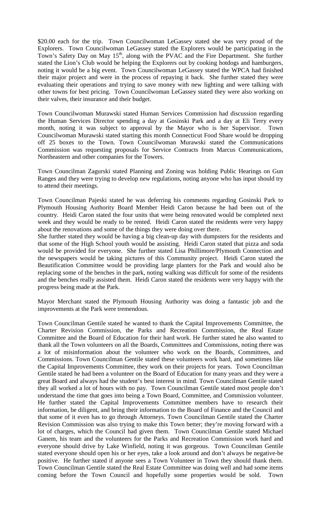\$20.00 each for the trip. Town Councilwoman LeGassey stated she was very proud of the Explorers. Town Councilwoman LeGassey stated the Explorers would be participating in the Town's Safety Day on May 15<sup>th</sup>, along with the PVAC and the Fire Department. She further stated the Lion's Club would be helping the Explorers out by cooking hotdogs and hamburgers, noting it would be a big event. Town Councilwoman LeGassey stated the WPCA had finished their major project and were in the process of repaying it back. She further stated they were evaluating their operations and trying to save money with new lighting and were talking with other towns for best pricing. Town Councilwoman LeGassey stated they were also working on their valves, their insurance and their budget.

Town Councilwoman Murawski stated Human Services Commission had discussion regarding the Human Services Director spending a day at Gosinski Park and a day at Eli Terry every month, noting it was subject to approval by the Mayor who is her Supervisor. Town Councilwoman Murawski stated starting this month Connecticut Food Share would be dropping off 25 boxes to the Town. Town Councilwoman Murawski stated the Communications Commission was requesting proposals for Service Contracts from Marcus Communications, Northeastern and other companies for the Towers.

Town Councilman Zagurski stated Planning and Zoning was holding Public Hearings on Gun Ranges and they were trying to develop new regulations, noting anyone who has input should try to attend their meetings.

Town Councilman Pajeski stated he was deferring his comments regarding Gosinski Park to Plymouth Housing Authority Board Member Heidi Caron because he had been out of the country. Heidi Caron stated the four units that were being renovated would be completed next week and they would be ready to be rented. Heidi Caron stated the residents were very happy about the renovations and some of the things they were doing over there.

She further stated they would be having a big clean-up day with dumpsters for the residents and that some of the High School youth would be assisting. Heidi Caron stated that pizza and soda would be provided for everyone. She further stated Lisa Phillimore/Plymouth Connection and the newspapers would be taking pictures of this Community project. Heidi Caron stated the Beautification Committee would be providing large planters for the Park and would also be replacing some of the benches in the park, noting walking was difficult for some of the residents and the benches really assisted them. Heidi Caron stated the residents were very happy with the progress being made at the Park.

Mayor Merchant stated the Plymouth Housing Authority was doing a fantastic job and the improvements at the Park were tremendous.

Town Councilman Gentile stated he wanted to thank the Capital Improvements Committee, the Charter Revision Commission, the Parks and Recreation Commission, the Real Estate Committee and the Board of Education for their hard work. He further stated he also wanted to thank all the Town volunteers on all the Boards, Committees and Commissions, noting there was a lot of misinformation about the volunteer who work on the Boards, Committees, and Commissions. Town Councilman Gentile stated these volunteers work hard, and sometimes like the Capital Improvements Committee, they work on their projects for years. Town Councilman Gentile stated he had been a volunteer on the Board of Education for many years and they were a great Board and always had the student's best interest in mind. Town Councilman Gentile stated they all worked a lot of hours with no pay. Town Councilman Gentile stated most people don't understand the time that goes into being a Town Board, Committee, and Commission volunteer. He further stated the Capital Improvements Committee members have to research their information, be diligent, and bring their information to the Board of Finance and the Council and that some of it even has to go through Attorneys. Town Councilman Gentile stated the Charter Revision Commission was also trying to make this Town better; they're moving forward with a lot of charges, which the Council had given them. Town Councilman Gentile stated Michael Ganem, his team and the volunteers for the Parks and Recreation Commission work hard and everyone should drive by Lake Winfield, noting it was gorgeous. Town Councilman Gentile stated everyone should open his or her eyes, take a look around and don't always be negative-be positive. He further stated if anyone sees a Town Volunteer in Town they should thank them. Town Councilman Gentile stated the Real Estate Committee was doing well and had some items coming before the Town Council and hopefully some properties would be sold. Town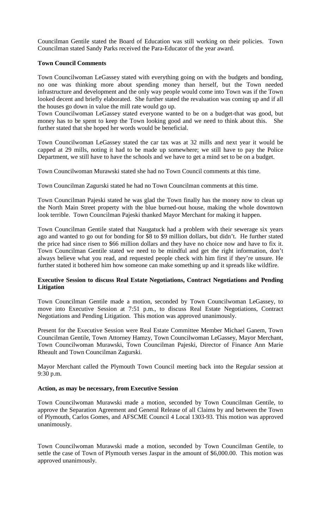Councilman Gentile stated the Board of Education was still working on their policies. Town Councilman stated Sandy Parks received the Para-Educator of the year award.

## **Town Council Comments**

Town Councilwoman LeGassey stated with everything going on with the budgets and bonding, no one was thinking more about spending money than herself, but the Town needed infrastructure and development and the only way people would come into Town was if the Town looked decent and briefly elaborated. She further stated the revaluation was coming up and if all the houses go down in value the mill rate would go up.

Town Councilwoman LeGassey stated everyone wanted to be on a budget-that was good, but money has to be spent to keep the Town looking good and we need to think about this. She further stated that she hoped her words would be beneficial.

Town Councilwoman LeGassey stated the car tax was at 32 mills and next year it would be capped at 29 mills, noting it had to be made up somewhere; we still have to pay the Police Department, we still have to have the schools and we have to get a mind set to be on a budget.

Town Councilwoman Murawski stated she had no Town Council comments at this time.

Town Councilman Zagurski stated he had no Town Councilman comments at this time.

Town Councilman Pajeski stated he was glad the Town finally has the money now to clean up the North Main Street property with the blue burned-out house, making the whole downtown look terrible. Town Councilman Pajeski thanked Mayor Merchant for making it happen.

Town Councilman Gentile stated that Naugatuck had a problem with their sewerage six years ago and wanted to go out for bonding for \$8 to \$9 million dollars, but didn't. He further stated the price had since risen to \$66 million dollars and they have no choice now and have to fix it. Town Councilman Gentile stated we need to be mindful and get the right information, don't always believe what you read, and requested people check with him first if they're unsure. He further stated it bothered him how someone can make something up and it spreads like wildfire.

## **Executive Session to discuss Real Estate Negotiations, Contract Negotiations and Pending Litigation**

Town Councilman Gentile made a motion, seconded by Town Councilwoman LeGassey, to move into Executive Session at 7:51 p.m., to discuss Real Estate Negotiations, Contract Negotiations and Pending Litigation. This motion was approved unanimously.

Present for the Executive Session were Real Estate Committee Member Michael Ganem, Town Councilman Gentile, Town Attorney Hamzy, Town Councilwoman LeGassey, Mayor Merchant, Town Councilwoman Murawski, Town Councilman Pajeski, Director of Finance Ann Marie Rheault and Town Councilman Zagurski.

Mayor Merchant called the Plymouth Town Council meeting back into the Regular session at 9:30 p.m.

#### **Action, as may be necessary, from Executive Session**

Town Councilwoman Murawski made a motion, seconded by Town Councilman Gentile, to approve the Separation Agreement and General Release of all Claims by and between the Town of Plymouth, Carlos Gomes, and AFSCME Council 4 Local 1303-93. This motion was approved unanimously.

Town Councilwoman Murawski made a motion, seconded by Town Councilman Gentile, to settle the case of Town of Plymouth verses Jaspar in the amount of \$6,000.00. This motion was approved unanimously.